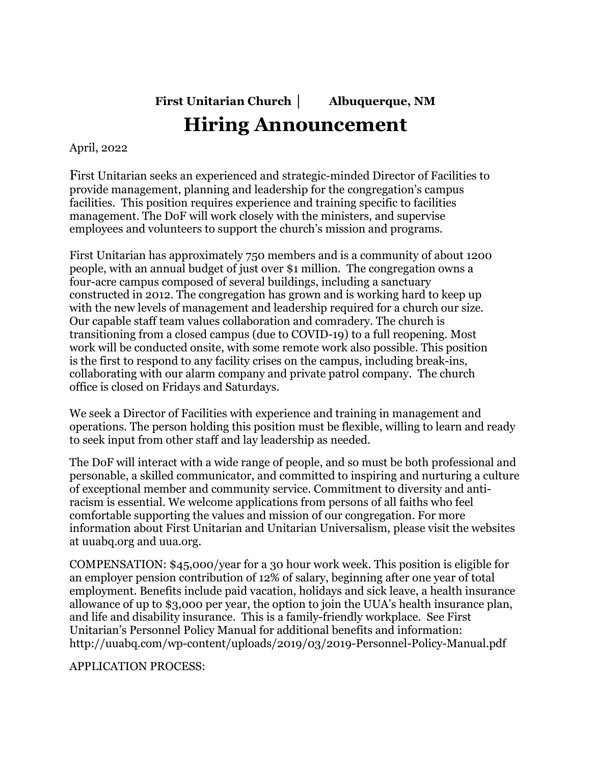**First Unitarian Church │ Albuquerque, NM**

## **Hiring Announcement**

April, 2022

First Unitarian seeks an experienced and strategic-minded Director of Facilities to provide management, planning and leadership for the congregation's campus facilities. This position requires experience and training specific to facilities management. The DoF will work closely with the ministers, and supervise employees and volunteers to support the church's mission and programs.

First Unitarian has approximately 750 members and is a community of about 1200 people, with an annual budget of just over \$1 million. The congregation owns a four-acre campus composed of several buildings, including a sanctuary constructed in 2012. The congregation has grown and is working hard to keep up with the new levels of management and leadership required for a church our size. Our capable staff team values collaboration and comradery. The church is transitioning from a closed campus (due to COVID-19) to a full reopening. Most work will be conducted onsite, with some remote work also possible. This position is the first to respond to any facility crises on the campus, including break-ins, collaborating with our alarm company and private patrol company. The church office is closed on Fridays and Saturdays.

We seek a Director of Facilities with experience and training in management and operations. The person holding this position must be flexible, willing to learn and ready to seek input from other staff and lay leadership as needed.

The DoF will interact with a wide range of people, and so must be both professional and personable, a skilled communicator, and committed to inspiring and nurturing a culture of exceptional member and community service. Commitment to diversity and antiracism is essential. We welcome applications from persons of all faiths who feel comfortable supporting the values and mission of our congregation. For more information about First Unitarian and Unitarian Universalism, please visit the websites at uuabq.org and uua.org.

COMPENSATION: \$45,000/year for a 30 hour work week. This position is eligible for an employer pension contribution of 12% of salary, beginning after one year of total employment. Benefits include paid vacation, holidays and sick leave, a health insurance allowance of up to \$3,000 per year, the option to join the UUA's health insurance plan, and life and disability insurance. This is a family-friendly workplace. See First Unitarian's Personnel Policy Manual for additional benefits and information: http://uuabq.com/wp-content/uploads/2019/03/2019-Personnel-Policy-Manual.pdf

APPLICATION PROCESS: